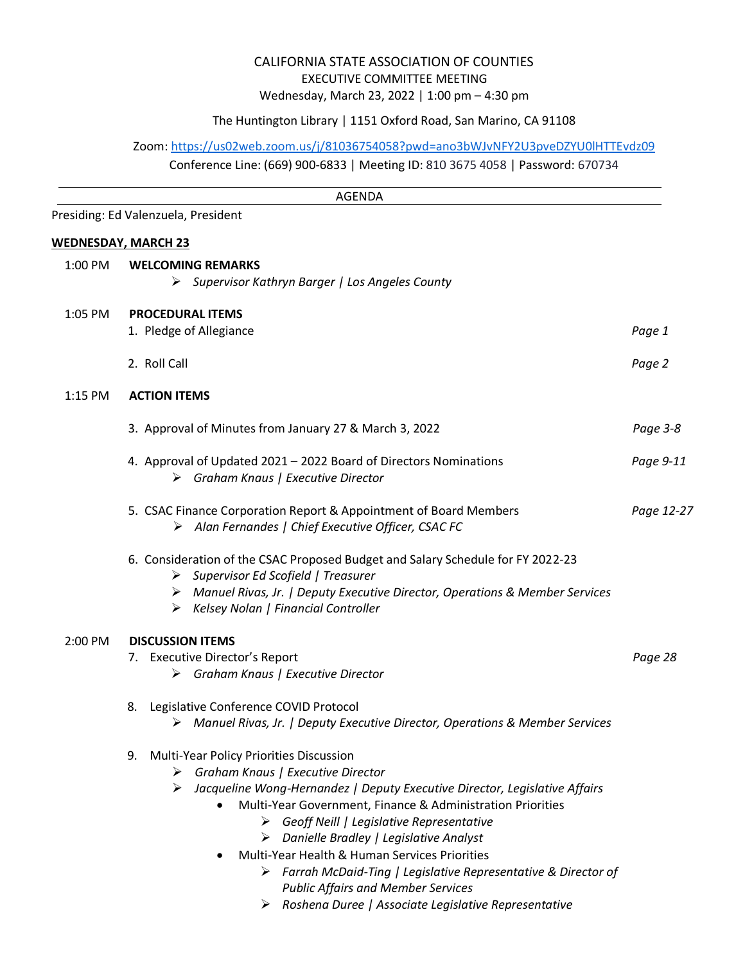## CALIFORNIA STATE ASSOCIATION OF COUNTIES EXECUTIVE COMMITTEE MEETING Wednesday, March 23, 2022 | 1:00 pm – 4:30 pm

## The Huntington Library | 1151 Oxford Road, San Marino, CA 91108

Zoom: <https://us02web.zoom.us/j/81036754058?pwd=ano3bWJvNFY2U3pveDZYU0lHTTEvdz09>

Conference Line: (669) 900-6833 | Meeting ID: 810 3675 4058 | Password: 670734

|         | <b>AGENDA</b>                                                                                                                                                                                                                                                                                                                                                                                                                                                                                                                                                      |            |
|---------|--------------------------------------------------------------------------------------------------------------------------------------------------------------------------------------------------------------------------------------------------------------------------------------------------------------------------------------------------------------------------------------------------------------------------------------------------------------------------------------------------------------------------------------------------------------------|------------|
|         | Presiding: Ed Valenzuela, President                                                                                                                                                                                                                                                                                                                                                                                                                                                                                                                                |            |
|         | <b>WEDNESDAY, MARCH 23</b>                                                                                                                                                                                                                                                                                                                                                                                                                                                                                                                                         |            |
| 1:00 PM | <b>WELCOMING REMARKS</b>                                                                                                                                                                                                                                                                                                                                                                                                                                                                                                                                           |            |
|         | > Supervisor Kathryn Barger   Los Angeles County                                                                                                                                                                                                                                                                                                                                                                                                                                                                                                                   |            |
|         |                                                                                                                                                                                                                                                                                                                                                                                                                                                                                                                                                                    |            |
| 1:05 PM | <b>PROCEDURAL ITEMS</b><br>1. Pledge of Allegiance                                                                                                                                                                                                                                                                                                                                                                                                                                                                                                                 | Page 1     |
|         |                                                                                                                                                                                                                                                                                                                                                                                                                                                                                                                                                                    |            |
|         | 2. Roll Call                                                                                                                                                                                                                                                                                                                                                                                                                                                                                                                                                       | Page 2     |
| 1:15 PM | <b>ACTION ITEMS</b>                                                                                                                                                                                                                                                                                                                                                                                                                                                                                                                                                |            |
|         | 3. Approval of Minutes from January 27 & March 3, 2022                                                                                                                                                                                                                                                                                                                                                                                                                                                                                                             | Page 3-8   |
|         | 4. Approval of Updated 2021 - 2022 Board of Directors Nominations<br>$\triangleright$ Graham Knaus   Executive Director                                                                                                                                                                                                                                                                                                                                                                                                                                            | Page 9-11  |
|         | 5. CSAC Finance Corporation Report & Appointment of Board Members<br>> Alan Fernandes   Chief Executive Officer, CSAC FC                                                                                                                                                                                                                                                                                                                                                                                                                                           | Page 12-27 |
|         | 6. Consideration of the CSAC Proposed Budget and Salary Schedule for FY 2022-23<br>$\triangleright$ Supervisor Ed Scofield   Treasurer<br>> Manuel Rivas, Jr.   Deputy Executive Director, Operations & Member Services<br>Kelsey Nolan   Financial Controller<br>➤                                                                                                                                                                                                                                                                                                |            |
| 2:00 PM | <b>DISCUSSION ITEMS</b>                                                                                                                                                                                                                                                                                                                                                                                                                                                                                                                                            |            |
|         | 7. Executive Director's Report<br>$\triangleright$ Graham Knaus   Executive Director                                                                                                                                                                                                                                                                                                                                                                                                                                                                               | Page 28    |
|         | 8. Legislative Conference COVID Protocol<br>> Manuel Rivas, Jr.   Deputy Executive Director, Operations & Member Services                                                                                                                                                                                                                                                                                                                                                                                                                                          |            |
|         | <b>Multi-Year Policy Priorities Discussion</b><br>9.<br>Graham Knaus   Executive Director<br>➤<br>Jacqueline Wong-Hernandez   Deputy Executive Director, Legislative Affairs<br>➤<br>Multi-Year Government, Finance & Administration Priorities<br>$\bullet$<br>$\triangleright$ Geoff Neill   Legislative Representative<br>$\triangleright$ Danielle Bradley   Legislative Analyst<br>Multi-Year Health & Human Services Priorities<br>$\bullet$<br>> Farrah McDaid-Ting   Legislative Representative & Director of<br><b>Public Affairs and Member Services</b> |            |